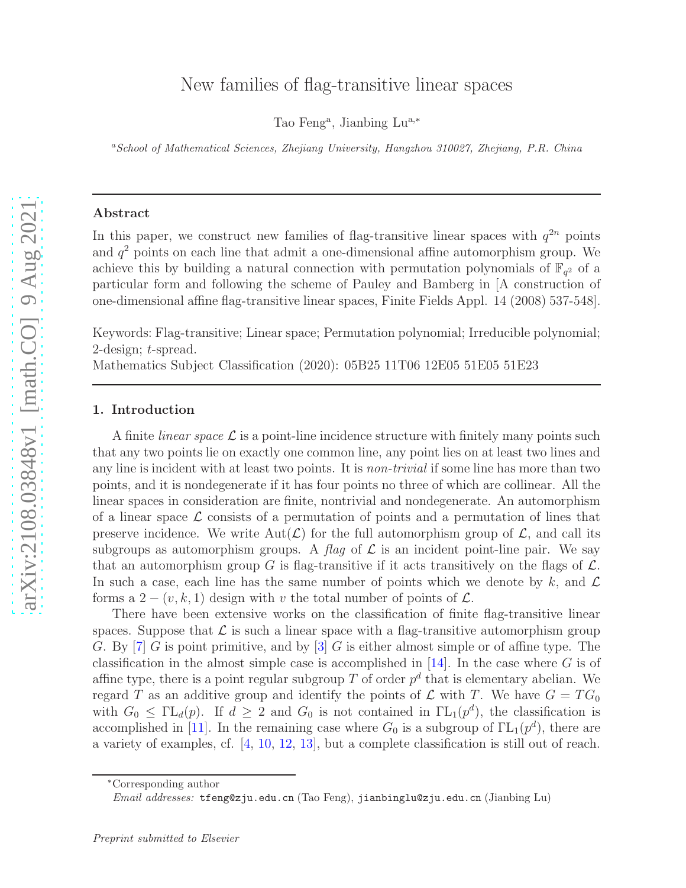# New families of flag-transitive linear spaces

Tao Feng<sup>a</sup>, Jianbing Lu<sup>a,\*</sup>

<sup>a</sup>*School of Mathematical Sciences, Zhejiang University, Hangzhou 310027, Zhejiang, P.R. China*

#### Abstract

In this paper, we construct new families of flag-transitive linear spaces with  $q^{2n}$  points and  $q<sup>2</sup>$  points on each line that admit a one-dimensional affine automorphism group. We achieve this by building a natural connection with permutation polynomials of  $\mathbb{F}_{q^2}$  of a particular form and following the scheme of Pauley and Bamberg in [A construction of one-dimensional affine flag-transitive linear spaces, Finite Fields Appl. 14 (2008) 537-548].

Keywords: Flag-transitive; Linear space; Permutation polynomial; Irreducible polynomial; 2-design; t-spread.

Mathematics Subject Classification (2020): 05B25 11T06 12E05 51E05 51E23

#### 1. Introduction

A finite *linear space*  $\mathcal L$  is a point-line incidence structure with finitely many points such that any two points lie on exactly one common line, any point lies on at least two lines and any line is incident with at least two points. It is *non-trivial* if some line has more than two points, and it is nondegenerate if it has four points no three of which are collinear. All the linear spaces in consideration are finite, nontrivial and nondegenerate. An automorphism of a linear space  $\mathcal L$  consists of a permutation of points and a permutation of lines that preserve incidence. We write  $Aut(\mathcal{L})$  for the full automorphism group of  $\mathcal{L}$ , and call its subgroups as automorphism groups. A flag of  $\mathcal L$  is an incident point-line pair. We say that an automorphism group G is flag-transitive if it acts transitively on the flags of  $\mathcal{L}$ . In such a case, each line has the same number of points which we denote by k, and  $\mathcal L$ forms a  $2 - (v, k, 1)$  design with v the total number of points of  $\mathcal{L}$ .

There have been extensive works on the classification of finite flag-transitive linear spaces. Suppose that  $\mathcal L$  is such a linear space with a flag-transitive automorphism group G. By [\[7](#page-7-0)] G is point primitive, and by [\[3](#page-7-1)] G is either almost simple or of affine type. The classification in the almost simple case is accomplished in  $[14]$ . In the case where G is of affine type, there is a point regular subgroup T of order  $p^d$  that is elementary abelian. We regard T as an additive group and identify the points of  $\mathcal L$  with T. We have  $G = TG_0$ with  $G_0 \leq \Gamma L_d(p)$ . If  $d \geq 2$  and  $G_0$  is not contained in  $\Gamma L_1(p^d)$ , the classification is accomplished in [\[11\]](#page-7-3). In the remaining case where  $G_0$  is a subgroup of  $\Gamma L_1(p^d)$ , there are a variety of examples, cf. [\[4,](#page-7-4) [10](#page-7-5), [12,](#page-7-6) [13](#page-7-7)], but a complete classification is still out of reach.

<sup>∗</sup>Corresponding author

*Email addresses:* tfeng@zju.edu.cn (Tao Feng), jianbinglu@zju.edu.cn (Jianbing Lu)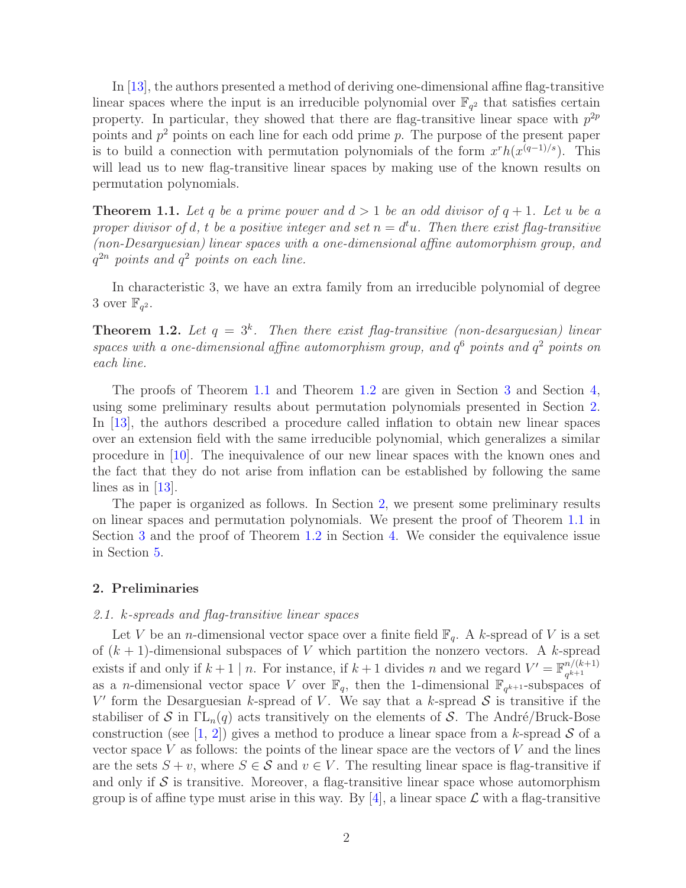In [\[13](#page-7-7)], the authors presented a method of deriving one-dimensional affine flag-transitive linear spaces where the input is an irreducible polynomial over  $\mathbb{F}_{q^2}$  that satisfies certain property. In particular, they showed that there are flag-transitive linear space with  $p^{2p}$ points and  $p^2$  points on each line for each odd prime p. The purpose of the present paper is to build a connection with permutation polynomials of the form  $x^rh(x^{(q-1)/s})$ . This will lead us to new flag-transitive linear spaces by making use of the known results on permutation polynomials.

<span id="page-1-0"></span>**Theorem 1.1.** Let q be a prime power and  $d > 1$  be an odd divisor of  $q + 1$ . Let u be a proper divisor of d, t be a positive integer and set  $n = d^t u$ . Then there exist flag-transitive (non-Desarguesian) linear spaces with a one-dimensional affine automorphism group, and  $q^{2n}$  points and  $q^2$  points on each line.

In characteristic 3, we have an extra family from an irreducible polynomial of degree 3 over  $\mathbb{F}_{q^2}$ .

<span id="page-1-1"></span>**Theorem 1.2.** Let  $q = 3^k$ . Then there exist flag-transitive (non-desarguesian) linear spaces with a one-dimensional affine automorphism group, and  $q^6$  points and  $q^2$  points on each line.

The proofs of Theorem [1.1](#page-1-0) and Theorem [1.2](#page-1-1) are given in Section [3](#page-3-0) and Section [4,](#page-5-0) using some preliminary results about permutation polynomials presented in Section [2.](#page-1-2) In [\[13](#page-7-7)], the authors described a procedure called inflation to obtain new linear spaces over an extension field with the same irreducible polynomial, which generalizes a similar procedure in [\[10](#page-7-5)]. The inequivalence of our new linear spaces with the known ones and the fact that they do not arise from inflation can be established by following the same lines as in [\[13](#page-7-7)].

The paper is organized as follows. In Section [2,](#page-1-2) we present some preliminary results on linear spaces and permutation polynomials. We present the proof of Theorem [1.1](#page-1-0) in Section [3](#page-3-0) and the proof of Theorem [1.2](#page-1-1) in Section [4.](#page-5-0) We consider the equivalence issue in Section [5.](#page-6-0)

## <span id="page-1-2"></span>2. Preliminaries

#### 2.1. k-spreads and flag-transitive linear spaces

Let V be an *n*-dimensional vector space over a finite field  $\mathbb{F}_q$ . A k-spread of V is a set of  $(k + 1)$ -dimensional subspaces of V which partition the nonzero vectors. A k-spread exists if and only if  $k+1 \mid n$ . For instance, if  $k+1$  divides n and we regard  $V' = \mathbb{F}_{a^{k+1}}^{n/(k+1)}$  $q^{k+1}$ as a *n*-dimensional vector space V over  $\mathbb{F}_q$ , then the 1-dimensional  $\mathbb{F}_{q^{k+1}}$ -subspaces of V' form the Desarguesian k-spread of V. We say that a k-spread  $S$  is transitive if the stabiliser of S in  $\Gamma L_n(q)$  acts transitively on the elements of S. The André/Bruck-Bose construction (see [\[1](#page-7-8), [2](#page-7-9)]) gives a method to produce a linear space from a k-spread  $S$  of a vector space V as follows: the points of the linear space are the vectors of V and the lines are the sets  $S + v$ , where  $S \in \mathcal{S}$  and  $v \in V$ . The resulting linear space is flag-transitive if and only if  $\mathcal S$  is transitive. Moreover, a flag-transitive linear space whose automorphism group is of affine type must arise in this way. By  $[4]$ , a linear space  $\mathcal L$  with a flag-transitive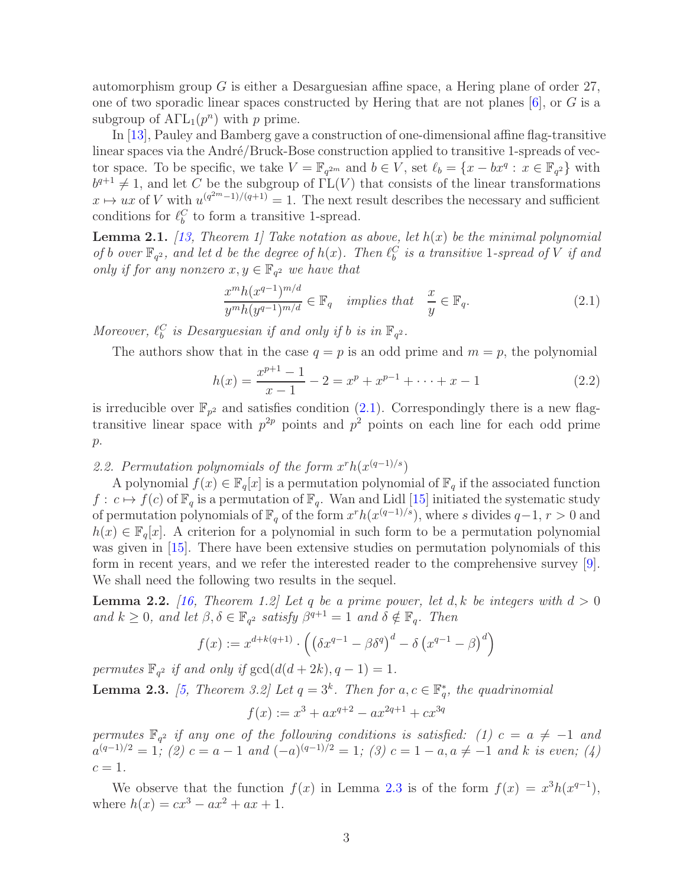automorphism group G is either a Desarguesian affine space, a Hering plane of order  $27$ , one of two sporadic linear spaces constructed by Hering that are not planes  $[6]$ , or G is a subgroup of  $\text{ATL}_1(p^n)$  with p prime.

In [\[13](#page-7-7)], Pauley and Bamberg gave a construction of one-dimensional affine flag-transitive linear spaces via the André/Bruck-Bose construction applied to transitive 1-spreads of vector space. To be specific, we take  $V = \mathbb{F}_{q^{2m}}$  and  $b \in V$ , set  $\ell_b = \{x - bx^q : x \in \mathbb{F}_{q^2}\}\$  with  $b^{q+1} \neq 1$ , and let C be the subgroup of  $\Gamma L(V)$  that consists of the linear transformations  $x \mapsto ux$  of V with  $u^{(q^{2m}-1)/(q+1)} = 1$ . The next result describes the necessary and sufficient conditions for  $\ell_b^C$  to form a transitive 1-spread.

<span id="page-2-2"></span>**Lemma 2.1.** [\[13](#page-7-7), Theorem 1] Take notation as above, let  $h(x)$  be the minimal polynomial of b over  $\mathbb{F}_{q^2}$ , and let d be the degree of  $h(x)$ . Then  $\ell_b^C$  is a transitive 1-spread of V if and only if for any nonzero  $x, y \in \mathbb{F}_{q^2}$  we have that

<span id="page-2-0"></span>
$$
\frac{x^m h(x^{q-1})^{m/d}}{y^m h(y^{q-1})^{m/d}} \in \mathbb{F}_q \quad implies \ that \quad \frac{x}{y} \in \mathbb{F}_q. \tag{2.1}
$$

Moreover,  $\ell_b^C$  is Desarguesian if and only if b is in  $\mathbb{F}_{q^2}$ .

The authors show that in the case  $q = p$  is an odd prime and  $m = p$ , the polynomial

<span id="page-2-3"></span>
$$
h(x) = \frac{x^{p+1} - 1}{x - 1} - 2 = x^p + x^{p-1} + \dots + x - 1
$$
\n(2.2)

is irreducible over  $\mathbb{F}_{p^2}$  and satisfies condition [\(2.1\)](#page-2-0). Correspondingly there is a new flagtransitive linear space with  $p^{2p}$  points and  $p^2$  points on each line for each odd prime  $p$ .

2.2. Permutation polynomials of the form  $x^rh(x^{(q-1)/s})$ 

A polynomial  $f(x) \in \mathbb{F}_q[x]$  is a permutation polynomial of  $\mathbb{F}_q$  if the associated function  $f: c \mapsto f(c)$  of  $\mathbb{F}_q$  is a permutation of  $\mathbb{F}_q$ . Wan and Lidl [\[15](#page-7-11)] initiated the systematic study of permutation polynomials of  $\mathbb{F}_q$  of the form  $x^rh(x^{(q-1)/s})$ , where s divides  $q-1, r > 0$  and  $h(x) \in \mathbb{F}_q[x]$ . A criterion for a polynomial in such form to be a permutation polynomial was given in [\[15\]](#page-7-11). There have been extensive studies on permutation polynomials of this form in recent years, and we refer the interested reader to the comprehensive survey [\[9\]](#page-7-12). We shall need the following two results in the sequel.

<span id="page-2-4"></span>**Lemma 2.2.** [\[16,](#page-7-13) Theorem 1.2] Let q be a prime power, let d, k be integers with  $d > 0$ and  $k \geq 0$ , and let  $\beta, \delta \in \mathbb{F}_{q^2}$  satisfy  $\beta^{q+1} = 1$  and  $\delta \notin \mathbb{F}_q$ . Then

$$
f(x) := x^{d+k(q+1)} \cdot \left( \left( \delta x^{q-1} - \beta \delta^q \right)^d - \delta \left( x^{q-1} - \beta \right)^d \right)
$$

permutes  $\mathbb{F}_{q^2}$  if and only if  $gcd(d(d+2k), q-1) = 1$ .

<span id="page-2-1"></span>**Lemma 2.3.** [\[5,](#page-7-14) Theorem 3.2] Let  $q = 3^k$ . Then for  $a, c \in \mathbb{F}_q^*$  $_{q}^{*}$ , the quadrinomial

$$
f(x) := x^3 + ax^{q+2} - ax^{2q+1} + cx^{3q}
$$

permutes  $\mathbb{F}_{q^2}$  if any one of the following conditions is satisfied: (1)  $c = a \neq -1$  and  $a^{(q-1)/2} = 1$ ; (2)  $c = a - 1$  and  $(-a)^{(q-1)/2} = 1$ ; (3)  $c = 1 - a, a \neq -1$  and k is even; (4)  $c=1$ .

We observe that the function  $f(x)$  in Lemma [2.3](#page-2-1) is of the form  $f(x) = x^3 h(x^{q-1})$ , where  $h(x) = cx^{3} - ax^{2} + ax + 1$ .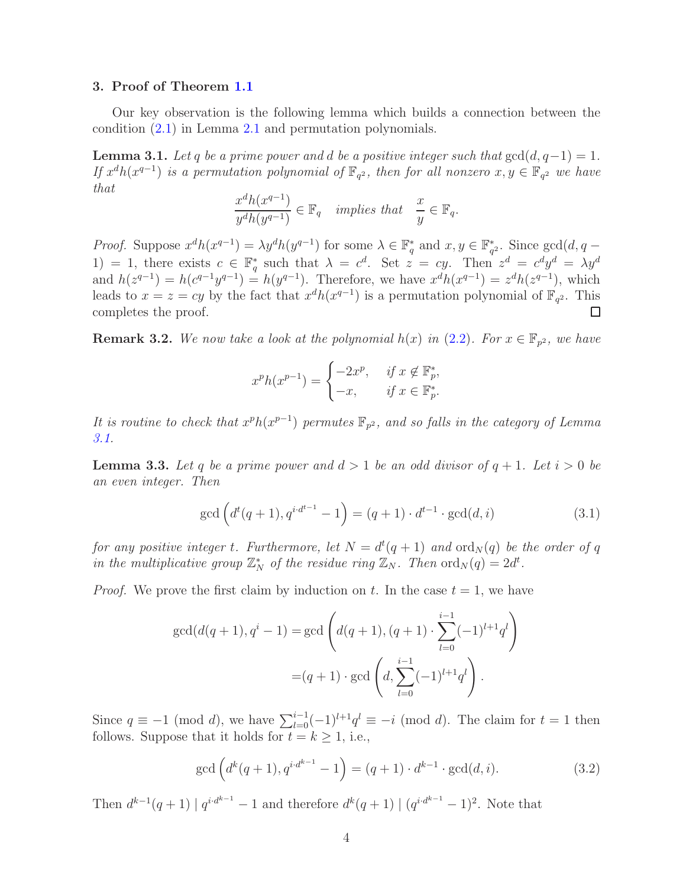## <span id="page-3-0"></span>3. Proof of Theorem [1.1](#page-1-0)

Our key observation is the following lemma which builds a connection between the condition [\(2.1\)](#page-2-0) in Lemma [2.1](#page-2-2) and permutation polynomials.

<span id="page-3-1"></span>**Lemma 3.1.** Let q be a prime power and d be a positive integer such that  $gcd(d, q-1) = 1$ . If  $x^dh(x^{q-1})$  is a permutation polynomial of  $\mathbb{F}_{q^2}$ , then for all nonzero  $x, y \in \mathbb{F}_{q^2}$  we have that

$$
\frac{x^dh(x^{q-1})}{y^dh(y^{q-1})}\in \mathbb{F}_q\quad implies\ that\quad \frac{x}{y}\in \mathbb{F}_q.
$$

*Proof.* Suppose  $x^dh(x^{q-1}) = \lambda y^dh(y^{q-1})$  for some  $\lambda \in \mathbb{F}_q^*$ <sup>\*</sup><sub>q</sub></sub> and  $x, y \in \mathbb{F}_q^*$  $_{q^2}^*$ . Since  $gcd(d, q -$ 1) = 1, there exists  $c \in \mathbb{F}_q^*$ \* such that  $\lambda = c^d$ . Set  $z = cy$ . Then  $z^d = c^d y^d = \lambda y^d$ and  $h(z^{q-1}) = h(c^{q-1}y^{q-1}) = h(y^{q-1})$ . Therefore, we have  $x^dh(x^{q-1}) = z^dh(z^{q-1})$ , which leads to  $x = z = cy$  by the fact that  $x^dh(x^{q-1})$  is a permutation polynomial of  $\mathbb{F}_{q^2}$ . This completes the proof.  $\Box$ 

**Remark 3.2.** We now take a look at the polynomial  $h(x)$  in  $(2.2)$ . For  $x \in \mathbb{F}_{p^2}$ , we have

$$
x^p h(x^{p-1}) = \begin{cases} -2x^p, & \text{if } x \notin \mathbb{F}_p^*, \\ -x, & \text{if } x \in \mathbb{F}_p^* .\end{cases}
$$

It is routine to check that  $x^ph(x^{p-1})$  permutes  $\mathbb{F}_{p^2}$ , and so falls in the category of Lemma [3.1.](#page-3-1)

<span id="page-3-4"></span>**Lemma 3.3.** Let q be a prime power and  $d > 1$  be an odd divisor of  $q + 1$ . Let  $i > 0$  be an even integer. Then

<span id="page-3-3"></span>
$$
\gcd\left(d^t(q+1), q^{i \cdot d^{t-1}} - 1\right) = (q+1) \cdot d^{t-1} \cdot \gcd(d, i)
$$
\n(3.1)

for any positive integer t. Furthermore, let  $N = d^t(q + 1)$  and  $\text{ord}_N(q)$  be the order of q in the multiplicative group  $\mathbb{Z}_N^*$  of the residue ring  $\mathbb{Z}_N$ . Then  $\text{ord}_N(q) = 2d^t$ .

*Proof.* We prove the first claim by induction on t. In the case  $t = 1$ , we have

$$
\gcd(d(q+1), q^{i} - 1) = \gcd\left(d(q+1), (q+1) \cdot \sum_{l=0}^{i-1} (-1)^{l+1} q^{l}\right)
$$

$$
= (q+1) \cdot \gcd\left(d, \sum_{l=0}^{i-1} (-1)^{l+1} q^{l}\right).
$$

Since  $q \equiv -1 \pmod{d}$ , we have  $\sum_{l=0}^{i-1}(-1)^{l+1}q^{l} \equiv -i \pmod{d}$ . The claim for  $t = 1$  then follows. Suppose that it holds for  $t = k \geq 1$ , i.e.,

<span id="page-3-2"></span>
$$
\gcd\left(d^k(q+1), q^{i \cdot d^{k-1}} - 1\right) = (q+1) \cdot d^{k-1} \cdot \gcd(d, i). \tag{3.2}
$$

Then  $d^{k-1}(q+1) | q^{i \cdot d^{k-1}} - 1$  and therefore  $d^k(q+1) | (q^{i \cdot d^{k-1}} - 1)^2$ . Note that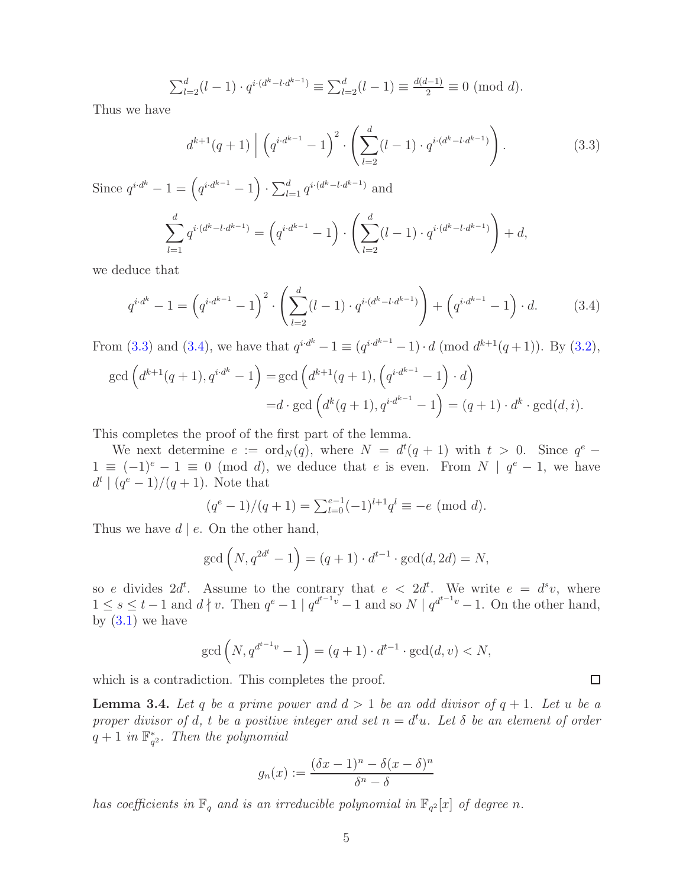$$
\sum_{l=2}^{d} (l-1) \cdot q^{i \cdot (d^k - l \cdot d^{k-1})} \equiv \sum_{l=2}^{d} (l-1) \equiv \frac{d(d-1)}{2} \equiv 0 \pmod{d}.
$$

Thus we have

<span id="page-4-0"></span>
$$
d^{k+1}(q+1) \mid \left(q^{i \cdot d^{k-1}} - 1\right)^2 \cdot \left(\sum_{l=2}^d (l-1) \cdot q^{i \cdot (d^k - l \cdot d^{k-1})}\right). \tag{3.3}
$$

 $+ d$ ,

Since  $q^{i \cdot d^{k}} - 1 = (q^{i \cdot d^{k-1}} - 1) \cdot \sum_{l=1}^{d} q^{i \cdot (d^{k} - l \cdot d^{k-1})}$  and  $\sum$ d  $_{l=1}$  $q^{i\cdot (d^k-l\cdot d^{k-1})}=\left(q^{i\cdot d^{k-1}}-1\right)\cdot\left(\sum^d\right)$  $_{l=2}$  $(l-1) \cdot q^{i \cdot (d^k - l \cdot d^{k-1})}$ 

we deduce that

<span id="page-4-1"></span>
$$
q^{i \cdot d^{k}} - 1 = \left(q^{i \cdot d^{k-1}} - 1\right)^{2} \cdot \left(\sum_{l=2}^{d} (l-1) \cdot q^{i \cdot (d^{k}-l \cdot d^{k-1})}\right) + \left(q^{i \cdot d^{k-1}} - 1\right) \cdot d. \tag{3.4}
$$

From [\(3.3\)](#page-4-0) and [\(3.4\)](#page-4-1), we have that  $q^{i \cdot d^k} - 1 \equiv (q^{i \cdot d^{k-1}} - 1) \cdot d \pmod{d^{k+1}(q+1)}$ . By [\(3.2\)](#page-3-2),

$$
\gcd\left(d^{k+1}(q+1), q^{i \cdot d^k} - 1\right) = \gcd\left(d^{k+1}(q+1), \left(q^{i \cdot d^{k-1}} - 1\right) \cdot d\right)
$$

$$
= d \cdot \gcd\left(d^k(q+1), q^{i \cdot d^{k-1}} - 1\right) = (q+1) \cdot d^k \cdot \gcd(d, i).
$$

This completes the proof of the first part of the lemma.

We next determine  $e := \text{ord}_N(q)$ , where  $N = d^t(q + 1)$  with  $t > 0$ . Since  $q^e$  –  $1 \equiv (-1)^e - 1 \equiv 0 \pmod{d}$ , we deduce that e is even. From  $N | q^e - 1$ , we have  $d^{t} | (q^{e} - 1)/(q + 1)$ . Note that

$$
(q^{e} - 1)/(q + 1) = \sum_{l=0}^{e-1} (-1)^{l+1} q^{l} \equiv -e \pmod{d}.
$$

Thus we have  $d \mid e$ . On the other hand,

$$
\gcd(N, q^{2d^t} - 1) = (q + 1) \cdot d^{t-1} \cdot \gcd(d, 2d) = N,
$$

so e divides  $2d^t$ . Assume to the contrary that  $e < 2d^t$ . We write  $e = d^s v$ , where  $1 \leq s \leq t-1$  and  $d \nmid v$ . Then  $q^e-1 \mid q^{d^{t-1}v}-1$  and so  $N \mid q^{d^{t-1}v}-1$ . On the other hand, by  $(3.1)$  we have

$$
\gcd\left(N, q^{d^{t-1}v} - 1\right) = (q+1) \cdot d^{t-1} \cdot \gcd(d, v) < N,
$$

which is a contradiction. This completes the proof.

<span id="page-4-2"></span>**Lemma 3.4.** Let q be a prime power and  $d > 1$  be an odd divisor of  $q + 1$ . Let u be a proper divisor of d, t be a positive integer and set  $n = d^t u$ . Let  $\delta$  be an element of order  $q+1$  in  $\mathbb{F}_q^*$  $_{q^2}^*$ . Then the polynomial

$$
g_n(x) := \frac{(\delta x - 1)^n - \delta (x - \delta)^n}{\delta^n - \delta}
$$

has coefficients in  $\mathbb{F}_q$  and is an irreducible polynomial in  $\mathbb{F}_{q^2}[x]$  of degree n.

 $\Box$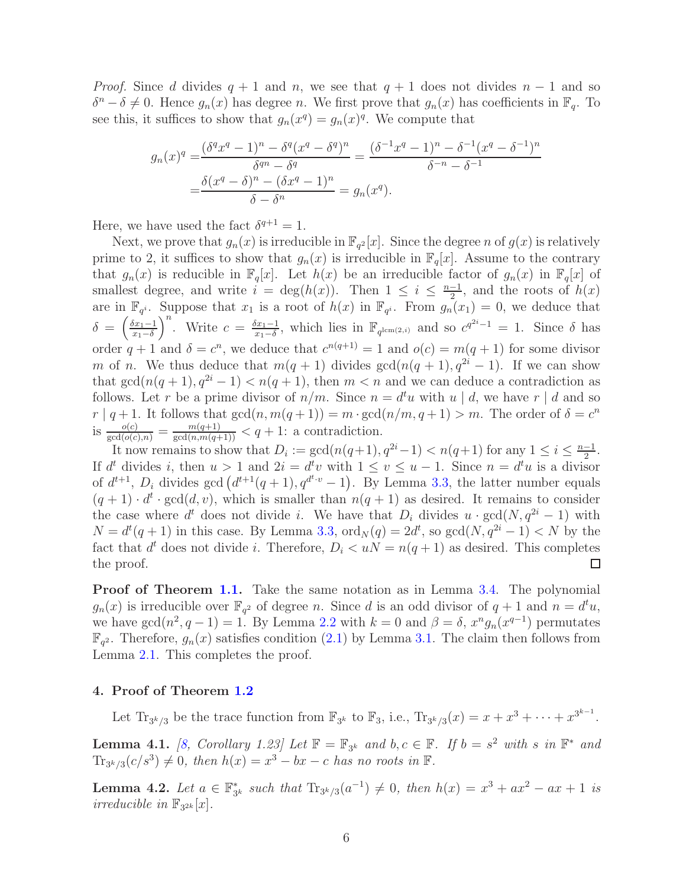*Proof.* Since d divides  $q + 1$  and n, we see that  $q + 1$  does not divides  $n - 1$  and so  $\delta^n - \delta \neq 0$ . Hence  $g_n(x)$  has degree n. We first prove that  $g_n(x)$  has coefficients in  $\mathbb{F}_q$ . To see this, it suffices to show that  $g_n(x^q) = g_n(x)^q$ . We compute that

$$
g_n(x)^q = \frac{(\delta^q x^q - 1)^n - \delta^q (x^q - \delta^q)^n}{\delta^{qn} - \delta^q} = \frac{(\delta^{-1} x^q - 1)^n - \delta^{-1} (x^q - \delta^{-1})^n}{\delta^{-n} - \delta^{-1}}
$$

$$
= \frac{\delta (x^q - \delta)^n - (\delta x^q - 1)^n}{\delta - \delta^n} = g_n(x^q).
$$

Here, we have used the fact  $\delta^{q+1} = 1$ .

Next, we prove that  $g_n(x)$  is irreducible in  $\mathbb{F}_{q^2}[x]$ . Since the degree n of  $g(x)$  is relatively prime to 2, it suffices to show that  $g_n(x)$  is irreducible in  $\mathbb{F}_q[x]$ . Assume to the contrary that  $g_n(x)$  is reducible in  $\mathbb{F}_q[x]$ . Let  $h(x)$  be an irreducible factor of  $g_n(x)$  in  $\mathbb{F}_q[x]$  of smallest degree, and write  $i = \deg(h(x))$ . Then  $1 \leq i \leq \frac{n-1}{2}$  $\frac{-1}{2}$ , and the roots of  $h(x)$ are in  $\mathbb{F}_{q^i}$ . Suppose that  $x_1$  is a root of  $h(x)$  in  $\mathbb{F}_{q^i}$ . From  $g_n(x_1) = 0$ , we deduce that  $\delta = \left(\frac{\delta x_1 - 1}{x_1 - \delta}\right)$  $\overline{x_1-\delta}$ <sup>n</sup>. Write  $c = \frac{\delta x_1 - 1}{x_1 - \delta}$  $\frac{\delta x_1 - 1}{x_1 - \delta}$ , which lies in  $\mathbb{F}_{q^{\text{lcm}(2,i)}}$  and so  $c^{q^{2i}-1} = 1$ . Since  $\delta$  has order  $q + 1$  and  $\delta = c^n$ , we deduce that  $c^{n(q+1)} = 1$  and  $o(c) = m(q + 1)$  for some divisor m of n. We thus deduce that  $m(q + 1)$  divides  $gcd(n(q + 1), q^{2i} - 1)$ . If we can show that  $gcd(n(q + 1), q^{2i} - 1) < n(q + 1)$ , then  $m < n$  and we can deduce a contradiction as follows. Let r be a prime divisor of  $n/m$ . Since  $n = d^t u$  with  $u | d$ , we have  $r | d$  and so  $r | q+1$ . It follows that  $gcd(n, m(q+1)) = m \cdot gcd(n/m, q+1) > m$ . The order of  $\delta = c^n$ is  $\frac{o(c)}{\gcd(o(c),n)} = \frac{m(q+1)}{\gcd(n,m(q+1))} < q+1$ : a contradiction.

It now remains to show that  $D_i := \gcd(n(q+1), q^{2i}-1) < n(q+1)$  for any  $1 \leq i \leq \frac{n-1}{2}$  $\frac{-1}{2}$ . If  $d^t$  divides i, then  $u > 1$  and  $2i = d^t v$  with  $1 \le v \le u - 1$ . Since  $n = d^t u$  is a divisor of  $d^{t+1}$ ,  $D_i$  divides gcd  $(d^{t+1}(q + 1), q^{d^t \cdot v} - 1)$ . By Lemma [3.3,](#page-3-4) the latter number equals  $(q+1) \cdot d^t \cdot \gcd(d, v)$ , which is smaller than  $n(q+1)$  as desired. It remains to consider the case where  $d^t$  does not divide i. We have that  $D_i$  divides  $u \cdot \gcd(N, q^{2i} - 1)$  with  $N = d^{t}(q + 1)$  in this case. By Lemma [3.3,](#page-3-4)  $\text{ord}_{N}(q) = 2d^{t}$ , so  $\gcd(N, q^{2i} - 1) < N$  by the fact that  $d^t$  does not divide i. Therefore,  $D_i < uN = n(q+1)$  as desired. This completes □ the proof.

**Proof of Theorem [1.1.](#page-1-0)** Take the same notation as in Lemma [3.4.](#page-4-2) The polynomial  $g_n(x)$  is irreducible over  $\mathbb{F}_{q^2}$  of degree n. Since d is an odd divisor of  $q+1$  and  $n=d^t u$ , we have  $gcd(n^2, q-1) = 1$ . By Lemma [2.2](#page-2-4) with  $k = 0$  and  $\beta = \delta$ ,  $x^n g_n(x^{q-1})$  permutates  $\mathbb{F}_{q^2}$ . Therefore,  $g_n(x)$  satisfies condition [\(2.1\)](#page-2-0) by Lemma [3.1.](#page-3-1) The claim then follows from Lemma [2.1.](#page-2-2) This completes the proof.

## <span id="page-5-0"></span>4. Proof of Theorem [1.2](#page-1-1)

Let  $\text{Tr}_{3^k/3}$  be the trace function from  $\mathbb{F}_{3^k}$  to  $\mathbb{F}_3$ , i.e.,  $\text{Tr}_{3^k/3}(x) = x + x^3 + \cdots + x^{3^{k-1}}$ .

<span id="page-5-1"></span>**Lemma 4.1.** [\[8,](#page-7-15) Corollary 1.23] Let  $\mathbb{F} = \mathbb{F}_{3^k}$  and  $b, c \in \mathbb{F}$ . If  $b = s^2$  with s in  $\mathbb{F}^*$  and  $\text{Tr}_{3^k/3}(c/s^3) \neq 0$ , then  $h(x) = x^3 - bx - c$  has no roots in  $\mathbb{F}$ .

<span id="page-5-2"></span>Lemma 4.2. Let  $a \in \mathbb{F}_3^*$  $S_{3^k}^*$  such that  $\text{Tr}_{3^k/3}(a^{-1}) \neq 0$ , then  $h(x) = x^3 + ax^2 - ax + 1$  is irreducible in  $\mathbb{F}_{3^{2k}}[x]$ .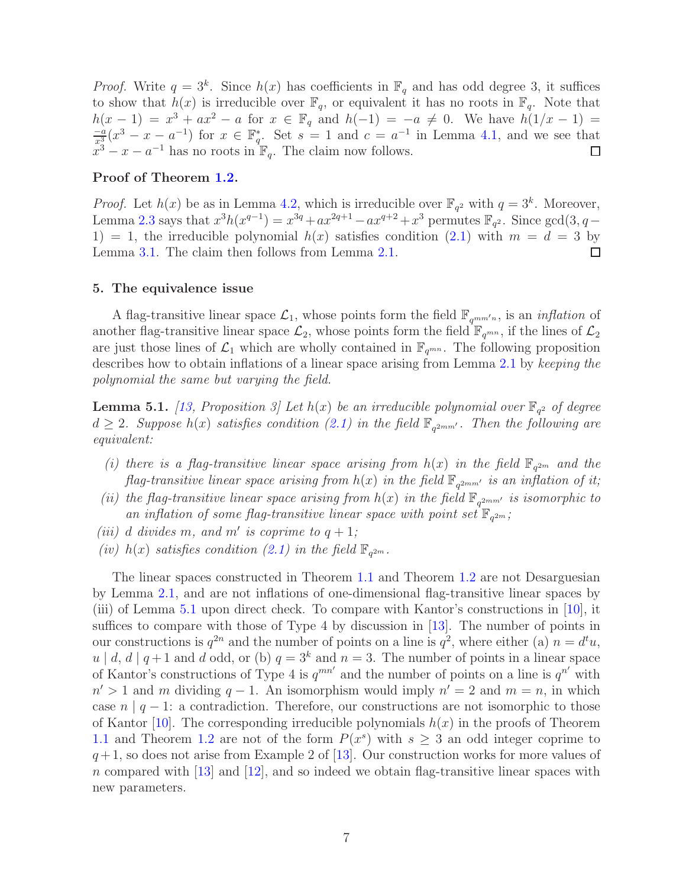*Proof.* Write  $q = 3^k$ . Since  $h(x)$  has coefficients in  $\mathbb{F}_q$  and has odd degree 3, it suffices to show that  $h(x)$  is irreducible over  $\mathbb{F}_q$ , or equivalent it has no roots in  $\mathbb{F}_q$ . Note that  $h(x - 1) = x^3 + ax^2 - a$  for  $x \in \mathbb{F}_q$  and  $h(-1) = -a \neq 0$ . We have  $h(1/x - 1) = \frac{-a}{x_s^3}(x^3 - x - a^{-1})$  for  $x \in \mathbb{F}_q^*$ . Set  $s = 1$  and  $c = a^{-1}$  in Lemma 4.1, and we see that \*. Set  $s = 1$  and  $c = a^{-1}$  in Lemma [4.1,](#page-5-1) and we see that  $x^3 - x - a^{-1}$  has no roots in  $\mathbb{F}_q$ . The claim now follows.

## Proof of Theorem [1.2.](#page-1-1)

*Proof.* Let  $h(x)$  be as in Lemma [4.2,](#page-5-2) which is irreducible over  $\mathbb{F}_{q^2}$  with  $q = 3^k$ . Moreover, Lemma [2.3](#page-2-1) says that  $x^3h(x^{q-1}) = x^{3q} + ax^{2q+1} - ax^{q+2} + x^3$  permutes  $\mathbb{F}_{q^2}$ . Since  $gcd(3, q -$ 1) = 1, the irreducible polynomial  $h(x)$  satisfies condition [\(2.1\)](#page-2-0) with  $m = d = 3$  by Lemma [3.1.](#page-3-1) The claim then follows from Lemma [2.1.](#page-2-2)  $\Box$ 

## <span id="page-6-0"></span>5. The equivalence issue

A flag-transitive linear space  $\mathcal{L}_1$ , whose points form the field  $\mathbb{F}_{q^{mm'n}}$ , is an *inflation* of another flag-transitive linear space  $\mathcal{L}_2$ , whose points form the field  $\mathbb{F}_{q^{mn}}$ , if the lines of  $\mathcal{L}_2$ are just those lines of  $\mathcal{L}_1$  which are wholly contained in  $\mathbb{F}_{q^{mn}}$ . The following proposition describes how to obtain inflations of a linear space arising from Lemma [2.1](#page-2-2) by keeping the polynomial the same but varying the field.

<span id="page-6-1"></span>**Lemma 5.1.** [\[13](#page-7-7), Proposition 3] Let  $h(x)$  be an irreducible polynomial over  $\mathbb{F}_{q^2}$  of degree  $d\geq 2$ . Suppose  $h(x)$  satisfies condition [\(2.1\)](#page-2-0) in the field  $\mathbb{F}_{q^{2mm'}}$ . Then the following are equivalent:

- (i) there is a flag-transitive linear space arising from  $h(x)$  in the field  $\mathbb{F}_{q^{2m}}$  and the flag-transitive linear space arising from  $h(x)$  in the field  $\mathbb{F}_{q^{2mm'}}$  is an inflation of it;
- (ii) the flag-transitive linear space arising from  $h(x)$  in the field  $\mathbb{F}_{q^{2mm'}}$  is isomorphic to an inflation of some flag-transitive linear space with point set  $\mathbb{F}_{q^{2m}}$ ;
- (iii) d divides m, and m' is coprime to  $q+1$ ;
- (iv)  $h(x)$  satisfies condition [\(2.1\)](#page-2-0) in the field  $\mathbb{F}_{q^{2m}}$ .

The linear spaces constructed in Theorem [1.1](#page-1-0) and Theorem [1.2](#page-1-1) are not Desarguesian by Lemma [2.1,](#page-2-2) and are not inflations of one-dimensional flag-transitive linear spaces by (iii) of Lemma [5.1](#page-6-1) upon direct check. To compare with Kantor's constructions in [\[10\]](#page-7-5), it suffices to compare with those of Type 4 by discussion in [\[13](#page-7-7)]. The number of points in our constructions is  $q^{2n}$  and the number of points on a line is  $q^2$ , where either (a)  $n = d^t u$ ,  $u | d, d | q + 1$  and d odd, or (b)  $q = 3<sup>k</sup>$  and  $n = 3$ . The number of points in a linear space of Kantor's constructions of Type 4 is  $q^{mn'}$  and the number of points on a line is  $q^{n'}$  with  $n' > 1$  and m dividing  $q - 1$ . An isomorphism would imply  $n' = 2$  and  $m = n$ , in which case  $n \mid q-1$ : a contradiction. Therefore, our constructions are not isomorphic to those of Kantor [\[10](#page-7-5)]. The corresponding irreducible polynomials  $h(x)$  in the proofs of Theorem [1.1](#page-1-0) and Theorem [1.2](#page-1-1) are not of the form  $P(x^s)$  with  $s \geq 3$  an odd integer coprime to  $q+1$ , so does not arise from Example 2 of [\[13](#page-7-7)]. Our construction works for more values of n compared with  $[13]$  and  $[12]$ , and so indeed we obtain flag-transitive linear spaces with new parameters.